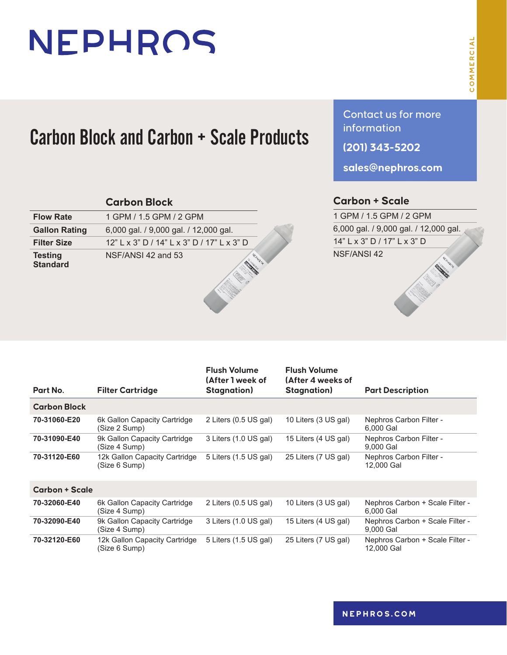# NEPHROS

### Carbon Block and Carbon + Scale Products

|                                   | <b>Carbon Block</b>                        |
|-----------------------------------|--------------------------------------------|
| <b>Flow Rate</b>                  | 1 GPM / 1.5 GPM / 2 GPM                    |
| <b>Gallon Rating</b>              | 6,000 gal. / 9,000 gal. / 12,000 gal.      |
| <b>Filter Size</b>                | 12" L x 3" D / 14" L x 3" D / 17" L x 3" D |
| <b>Testing</b><br><b>Standard</b> | NSF/ANSI 42 and 53                         |

Contact us for more information

**(201) 343-5202**

**sales@nephros.com**

#### **Carbon + Scale**

1 GPM / 1.5 GPM / 2 GPM 6,000 gal. / 9,000 gal. / 12,000 gal. 14" L x 3" D / 17" L x 3" D NSF/ANSI 42All All All Andrews

| Part No.              | <b>Filter Cartridge</b>                        | <b>Flush Volume</b><br>(After 1 week of<br><b>Stagnation</b> ) | <b>Flush Volume</b><br>(After 4 weeks of<br><b>Stagnation</b> ) | <b>Part Description</b>                       |  |
|-----------------------|------------------------------------------------|----------------------------------------------------------------|-----------------------------------------------------------------|-----------------------------------------------|--|
|                       |                                                |                                                                |                                                                 |                                               |  |
| <b>Carbon Block</b>   |                                                |                                                                |                                                                 |                                               |  |
| 70-31060-E20          | 6k Gallon Capacity Cartridge<br>(Size 2 Sump)  | 2 Liters (0.5 US gal)                                          | 10 Liters (3 US gal)                                            | Nephros Carbon Filter -<br>6,000 Gal          |  |
| 70-31090-E40          | 9k Gallon Capacity Cartridge<br>(Size 4 Sump)  | 3 Liters (1.0 US gal)                                          | 15 Liters (4 US gal)                                            | Nephros Carbon Filter -<br>9.000 Gal          |  |
| 70-31120-E60          | 12k Gallon Capacity Cartridge<br>(Size 6 Sump) | 5 Liters (1.5 US gal)                                          | 25 Liters (7 US gal)                                            | Nephros Carbon Filter -<br>12,000 Gal         |  |
| <b>Carbon + Scale</b> |                                                |                                                                |                                                                 |                                               |  |
| 70-32060-E40          | 6k Gallon Capacity Cartridge<br>(Size 4 Sump)  | 2 Liters (0.5 US gal)                                          | 10 Liters (3 US gal)                                            | Nephros Carbon + Scale Filter -<br>6.000 Gal  |  |
| 70-32090-E40          | 9k Gallon Capacity Cartridge<br>(Size 4 Sump)  | 3 Liters (1.0 US gal)                                          | 15 Liters (4 US gal)                                            | Nephros Carbon + Scale Filter -<br>9.000 Gal  |  |
| 70-32120-E60          | 12k Gallon Capacity Cartridge<br>(Size 6 Sump) | 5 Liters (1.5 US gal)                                          | 25 Liters (7 US gal)                                            | Nephros Carbon + Scale Filter -<br>12,000 Gal |  |